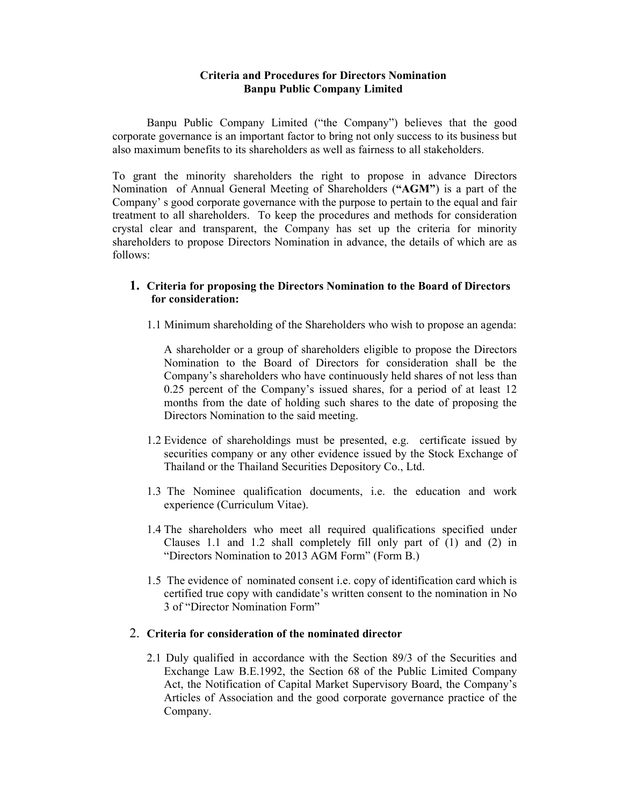#### **Criteria and Procedures for Directors Nomination Banpu Public Company Limited**

Banpu Public Company Limited ("the Company") believes that the good corporate governance is an important factor to bring not only success to its business but also maximum benefits to its shareholders as well as fairness to all stakeholders.

To grant the minority shareholders the right to propose in advance Directors Nomination of Annual General Meeting of Shareholders (**"AGM"**) is a part of the Company' s good corporate governance with the purpose to pertain to the equal and fair treatment to all shareholders. To keep the procedures and methods for consideration crystal clear and transparent, the Company has set up the criteria for minority shareholders to propose Directors Nomination in advance, the details of which are as follows:

### **1. Criteria for proposing the Directors Nomination to the Board of Directors for consideration:**

1.1 Minimum shareholding of the Shareholders who wish to propose an agenda:

A shareholder or a group of shareholders eligible to propose the Directors Nomination to the Board of Directors for consideration shall be the Company's shareholders who have continuously held shares of not less than 0.25 percent of the Company's issued shares, for a period of at least 12 months from the date of holding such shares to the date of proposing the Directors Nomination to the said meeting.

- 1.2 Evidence of shareholdings must be presented, e.g. certificate issued by securities company or any other evidence issued by the Stock Exchange of Thailand or the Thailand Securities Depository Co., Ltd.
- 1.3 The Nominee qualification documents, i.e. the education and work experience (Curriculum Vitae).
- 1.4 The shareholders who meet all required qualifications specified under Clauses 1.1 and 1.2 shall completely fill only part of (1) and (2) in "Directors Nomination to 2013 AGM Form" (Form B.)
- 1.5 The evidence of nominated consent i.e. copy of identification card which is certified true copy with candidate's written consent to the nomination in No 3 of "Director Nomination Form"

# 2. **Criteria for consideration of the nominated director**

2.1 Duly qualified in accordance with the Section 89/3 of the Securities and Exchange Law B.E.1992, the Section 68 of the Public Limited Company Act, the Notification of Capital Market Supervisory Board, the Company's Articles of Association and the good corporate governance practice of the Company.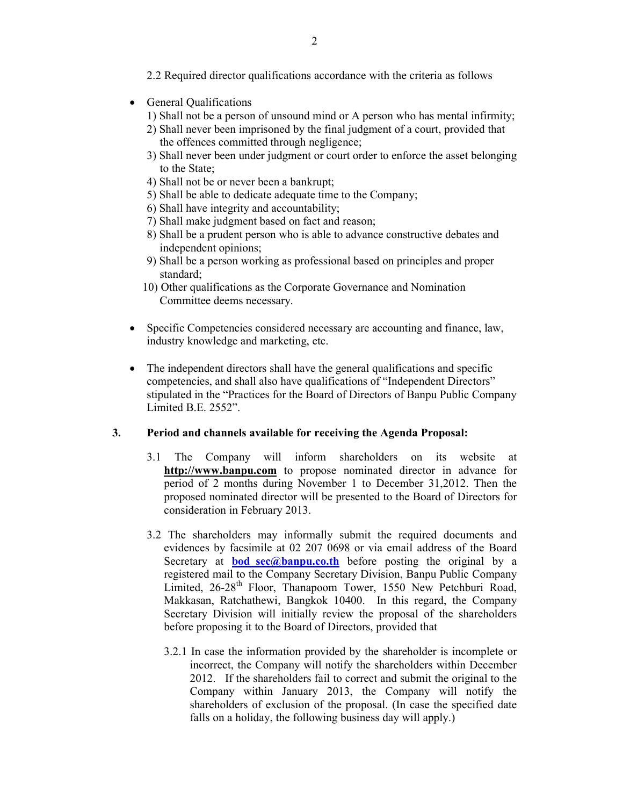- 2.2 Required director qualifications accordance with the criteria as follows
- General Qualifications
	- 1) Shall not be a person of unsound mind or A person who has mental infirmity;
	- 2) Shall never been imprisoned by the final judgment of a court, provided that the offences committed through negligence;
	- 3) Shall never been under judgment or court order to enforce the asset belonging to the State;
	- 4) Shall not be or never been a bankrupt;
	- 5) Shall be able to dedicate adequate time to the Company;
	- 6) Shall have integrity and accountability;
	- 7) Shall make judgment based on fact and reason;
	- 8) Shall be a prudent person who is able to advance constructive debates and independent opinions;
	- 9) Shall be a person working as professional based on principles and proper standard;
	- 10) Other qualifications as the Corporate Governance and Nomination Committee deems necessary.
- Specific Competencies considered necessary are accounting and finance, law, industry knowledge and marketing, etc.
- The independent directors shall have the general qualifications and specific competencies, and shall also have qualifications of "Independent Directors" stipulated in the "Practices for the Board of Directors of Banpu Public Company Limited B.E. 2552".

# **3. Period and channels available for receiving the Agenda Proposal:**

- 3.1 The Company will inform shareholders on its website at **http://www.banpu.com** to propose nominated director in advance for period of 2 months during November 1 to December 31,2012. Then the proposed nominated director will be presented to the Board of Directors for consideration in February 2013.
- 3.2 The shareholders may informally submit the required documents and evidences by facsimile at 02 207 0698 or via email address of the Board Secretary at **bod** sec@banpu.co.th before posting the original by a registered mail to the Company Secretary Division, Banpu Public Company Limited, 26-28<sup>th</sup> Floor, Thanapoom Tower, 1550 New Petchburi Road, Makkasan, Ratchathewi, Bangkok 10400. In this regard, the Company Secretary Division will initially review the proposal of the shareholders before proposing it to the Board of Directors, provided that
	- 3.2.1 In case the information provided by the shareholder is incomplete or incorrect, the Company will notify the shareholders within December 2012. If the shareholders fail to correct and submit the original to the Company within January 2013, the Company will notify the shareholders of exclusion of the proposal. (In case the specified date falls on a holiday, the following business day will apply.)